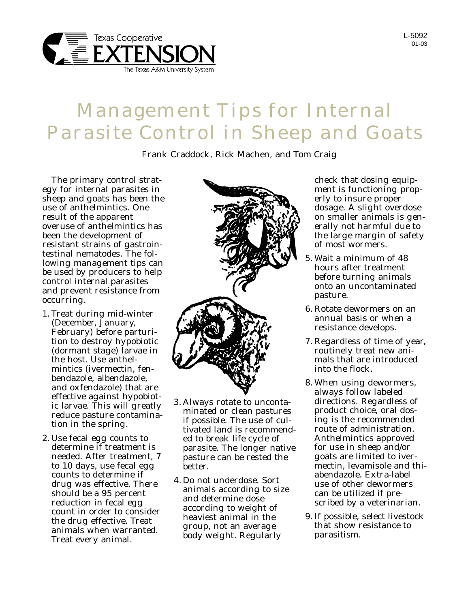

## L-5092 01-03

## Management Tips for Internal Parasite Control in Sheep and Goats

Frank Craddock, Rick Machen, and Tom Craig

The primary control strategy for internal parasites in sheep and goats has been the use of anthelmintics. One result of the apparent overuse of anthelmintics has been the development of resistant strains of gastrointestinal nematodes. The following management tips can be used by producers to help control internal parasites and prevent resistance from occurring.

- 1. Treat during mid-winter (December, January, February) before parturition to destroy hypobiotic (dormant stage) larvae in the host. Use anthelmintics (ivermectin, fenbendazole, albendazole, and oxfendazole) that are effective against hypobiotic larvae. This will greatly reduce pasture contamination in the spring.
- 2. Use fecal egg counts to determine if treatment is needed. After treatment, 7 to 10 days, use fecal egg counts to determine if drug was effective. There should be a 95 percent reduction in fecal egg count in order to consider the drug effective. Treat animals when warranted. Treat every animal.



- 3. Always rotate to uncontaminated or clean pastures if possible. The use of cultivated land is recommended to break life cycle of parasite. The longer native pasture can be rested the better.
- 4. Do not underdose. Sort animals according to size and determine dose according to weight of heaviest animal in the group, not an average body weight. Regularly

check that dosing equipment is functioning properly to insure proper dosage. A slight overdose on smaller animals is generally not harmful due to the large margin of safety of most wormers.

- 5. Wait a minimum of 48 hours after treatment before turning animals onto an uncontaminated pasture.
- 6. Rotate dewormers on an annual basis or when a resistance develops.
- 7. Regardless of time of year, routinely treat new animals that are introduced into the flock.
- 8. When using dewormers, always follow labeled directions. Regardless of product choice, oral dosing is the recommended route of administration. Anthelmintics approved for use in sheep and/or goats are limited to ivermectin, levamisole and thiabendazole. Extra-label use of other dewormers can be utilized if prescribed by a veterinarian.
- 9. If possible, select livestock that show resistance to parasitism.